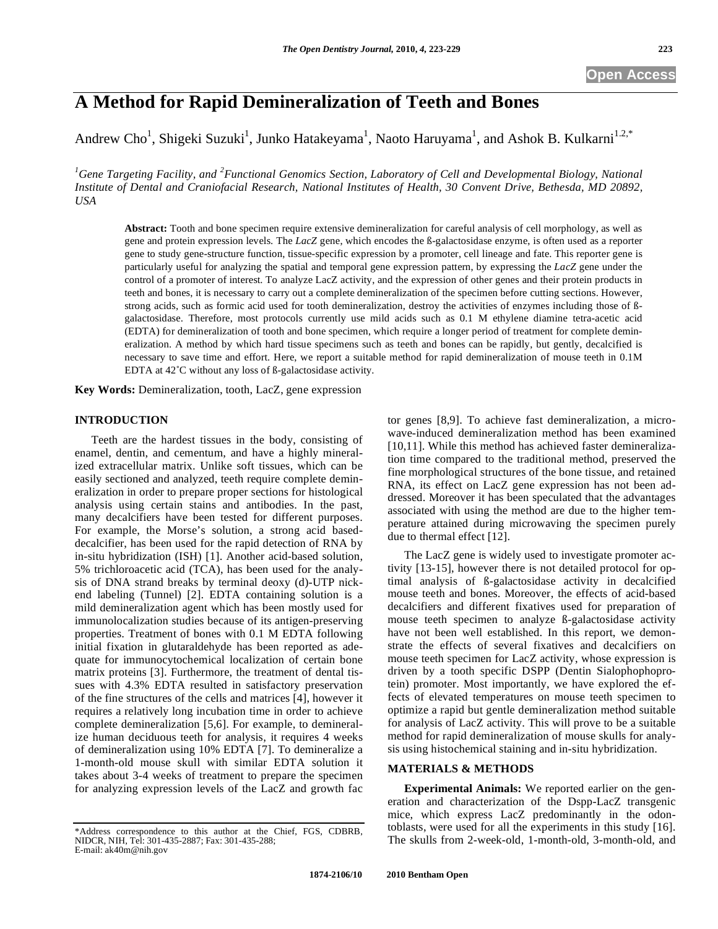# **A Method for Rapid Demineralization of Teeth and Bones**

Andrew Cho<sup>1</sup>, Shigeki Suzuki<sup>1</sup>, Junko Hatakeyama<sup>1</sup>, Naoto Haruyama<sup>1</sup>, and Ashok B. Kulkarni<sup>1.2,\*</sup>

<sup>1</sup> Gene Targeting Facility, and <sup>2</sup> Functional Genomics Section, Laboratory of Cell and Developmental Biology, National *Institute of Dental and Craniofacial Research, National Institutes of Health, 30 Convent Drive, Bethesda, MD 20892, USA* 

**Abstract:** Tooth and bone specimen require extensive demineralization for careful analysis of cell morphology, as well as gene and protein expression levels. The *LacZ* gene, which encodes the ß-galactosidase enzyme, is often used as a reporter gene to study gene-structure function, tissue-specific expression by a promoter, cell lineage and fate. This reporter gene is particularly useful for analyzing the spatial and temporal gene expression pattern, by expressing the *LacZ* gene under the control of a promoter of interest. To analyze LacZ activity, and the expression of other genes and their protein products in teeth and bones, it is necessary to carry out a complete demineralization of the specimen before cutting sections. However, strong acids, such as formic acid used for tooth demineralization, destroy the activities of enzymes including those of ßgalactosidase. Therefore, most protocols currently use mild acids such as 0.1 M ethylene diamine tetra-acetic acid (EDTA) for demineralization of tooth and bone specimen, which require a longer period of treatment for complete demineralization. A method by which hard tissue specimens such as teeth and bones can be rapidly, but gently, decalcified is necessary to save time and effort. Here, we report a suitable method for rapid demineralization of mouse teeth in 0.1M EDTA at 42˚C without any loss of ß-galactosidase activity.

**Key Words:** Demineralization, tooth, LacZ, gene expression

# **INTRODUCTION**

Teeth are the hardest tissues in the body, consisting of enamel, dentin, and cementum, and have a highly mineralized extracellular matrix. Unlike soft tissues, which can be easily sectioned and analyzed, teeth require complete demineralization in order to prepare proper sections for histological analysis using certain stains and antibodies. In the past, many decalcifiers have been tested for different purposes. For example, the Morse's solution, a strong acid baseddecalcifier, has been used for the rapid detection of RNA by in-situ hybridization (ISH) [1]. Another acid-based solution, 5% trichloroacetic acid (TCA), has been used for the analysis of DNA strand breaks by terminal deoxy (d)-UTP nickend labeling (Tunnel) [2]. EDTA containing solution is a mild demineralization agent which has been mostly used for immunolocalization studies because of its antigen-preserving properties. Treatment of bones with 0.1 M EDTA following initial fixation in glutaraldehyde has been reported as adequate for immunocytochemical localization of certain bone matrix proteins [3]. Furthermore, the treatment of dental tissues with 4.3% EDTA resulted in satisfactory preservation of the fine structures of the cells and matrices [4], however it requires a relatively long incubation time in order to achieve complete demineralization [5,6]. For example, to demineralize human deciduous teeth for analysis, it requires 4 weeks of demineralization using 10% EDTA [7]. To demineralize a 1-month-old mouse skull with similar EDTA solution it takes about 3-4 weeks of treatment to prepare the specimen for analyzing expression levels of the LacZ and growth fac

tor genes [8,9]. To achieve fast demineralization, a microwave-induced demineralization method has been examined [10,11]. While this method has achieved faster demineralization time compared to the traditional method, preserved the fine morphological structures of the bone tissue, and retained RNA, its effect on LacZ gene expression has not been addressed. Moreover it has been speculated that the advantages associated with using the method are due to the higher temperature attained during microwaving the specimen purely due to thermal effect [12].

The LacZ gene is widely used to investigate promoter activity [13-15], however there is not detailed protocol for optimal analysis of ß-galactosidase activity in decalcified mouse teeth and bones. Moreover, the effects of acid-based decalcifiers and different fixatives used for preparation of mouse teeth specimen to analyze ß-galactosidase activity have not been well established. In this report, we demonstrate the effects of several fixatives and decalcifiers on mouse teeth specimen for LacZ activity, whose expression is driven by a tooth specific DSPP (Dentin Sialophophoprotein) promoter. Most importantly, we have explored the effects of elevated temperatures on mouse teeth specimen to optimize a rapid but gentle demineralization method suitable for analysis of LacZ activity. This will prove to be a suitable method for rapid demineralization of mouse skulls for analysis using histochemical staining and in-situ hybridization.

# **MATERIALS & METHODS**

**Experimental Animals:** We reported earlier on the generation and characterization of the Dspp-LacZ transgenic mice, which express LacZ predominantly in the odontoblasts, were used for all the experiments in this study [16]. The skulls from 2-week-old, 1-month-old, 3-month-old, and

<sup>\*</sup>Address correspondence to this author at the Chief, FGS, CDBRB, NIDCR, NIH, Tel: 301-435-2887; Fax: 301-435-288; E-mail: ak40m@nih.gov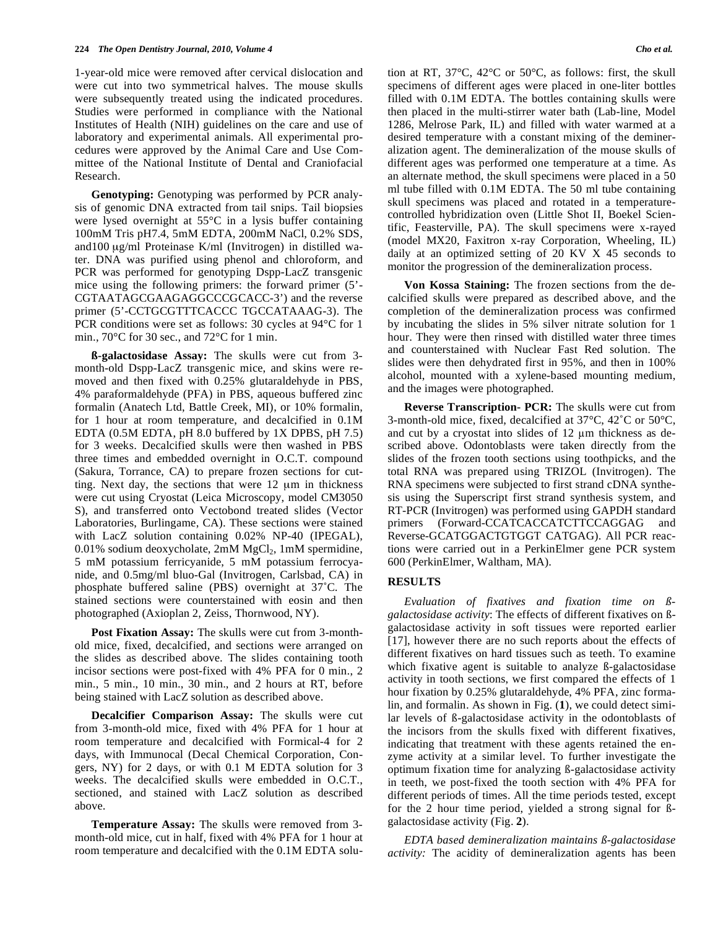1-year-old mice were removed after cervical dislocation and were cut into two symmetrical halves. The mouse skulls were subsequently treated using the indicated procedures. Studies were performed in compliance with the National Institutes of Health (NIH) guidelines on the care and use of laboratory and experimental animals. All experimental procedures were approved by the Animal Care and Use Committee of the National Institute of Dental and Craniofacial Research.

**Genotyping:** Genotyping was performed by PCR analysis of genomic DNA extracted from tail snips. Tail biopsies were lysed overnight at 55°C in a lysis buffer containing 100mM Tris pH7.4, 5mM EDTA, 200mM NaCl, 0.2% SDS, and100 μg/ml Proteinase K/ml (Invitrogen) in distilled water. DNA was purified using phenol and chloroform, and PCR was performed for genotyping Dspp-LacZ transgenic mice using the following primers: the forward primer (5'- CGTAATAGCGAAGAGGCCCGCACC-3') and the reverse primer (5'-CCTGCGTTTCACCC TGCCATAAAG-3). The PCR conditions were set as follows: 30 cycles at 94°C for 1 min., 70°C for 30 sec., and 72°C for 1 min.

**ß-galactosidase Assay:** The skulls were cut from 3 month-old Dspp-LacZ transgenic mice, and skins were removed and then fixed with 0.25% glutaraldehyde in PBS, 4% paraformaldehyde (PFA) in PBS, aqueous buffered zinc formalin (Anatech Ltd, Battle Creek, MI), or 10% formalin, for 1 hour at room temperature, and decalcified in 0.1M EDTA (0.5M EDTA, pH 8.0 buffered by 1X DPBS, pH 7.5) for 3 weeks. Decalcified skulls were then washed in PBS three times and embedded overnight in O.C.T. compound (Sakura, Torrance, CA) to prepare frozen sections for cutting. Next day, the sections that were 12 μm in thickness were cut using Cryostat (Leica Microscopy, model CM3050 S), and transferred onto Vectobond treated slides (Vector Laboratories, Burlingame, CA). These sections were stained with LacZ solution containing 0.02% NP-40 (IPEGAL), 0.01% sodium deoxycholate,  $2mM MgCl<sub>2</sub>$ , 1mM spermidine, 5 mM potassium ferricyanide, 5 mM potassium ferrocyanide, and 0.5mg/ml bluo-Gal (Invitrogen, Carlsbad, CA) in phosphate buffered saline (PBS) overnight at 37˚C. The stained sections were counterstained with eosin and then photographed (Axioplan 2, Zeiss, Thornwood, NY).

**Post Fixation Assay:** The skulls were cut from 3-monthold mice, fixed, decalcified, and sections were arranged on the slides as described above. The slides containing tooth incisor sections were post-fixed with 4% PFA for 0 min., 2 min., 5 min., 10 min., 30 min., and 2 hours at RT, before being stained with LacZ solution as described above.

**Decalcifier Comparison Assay:** The skulls were cut from 3-month-old mice, fixed with 4% PFA for 1 hour at room temperature and decalcified with Formical-4 for 2 days, with Immunocal (Decal Chemical Corporation, Congers, NY) for 2 days, or with 0.1 M EDTA solution for 3 weeks. The decalcified skulls were embedded in O.C.T., sectioned, and stained with LacZ solution as described above.

**Temperature Assay:** The skulls were removed from 3 month-old mice, cut in half, fixed with 4% PFA for 1 hour at room temperature and decalcified with the 0.1M EDTA solution at RT, 37°C, 42°C or 50°C, as follows: first, the skull specimens of different ages were placed in one-liter bottles filled with 0.1M EDTA. The bottles containing skulls were then placed in the multi-stirrer water bath (Lab-line, Model 1286, Melrose Park, IL) and filled with water warmed at a desired temperature with a constant mixing of the demineralization agent. The demineralization of the mouse skulls of different ages was performed one temperature at a time. As an alternate method, the skull specimens were placed in a 50 ml tube filled with 0.1M EDTA. The 50 ml tube containing skull specimens was placed and rotated in a temperaturecontrolled hybridization oven (Little Shot II, Boekel Scientific, Feasterville, PA). The skull specimens were x-rayed (model MX20, Faxitron x-ray Corporation, Wheeling, IL) daily at an optimized setting of 20 KV X 45 seconds to monitor the progression of the demineralization process.

**Von Kossa Staining:** The frozen sections from the decalcified skulls were prepared as described above, and the completion of the demineralization process was confirmed by incubating the slides in 5% silver nitrate solution for 1 hour. They were then rinsed with distilled water three times and counterstained with Nuclear Fast Red solution. The slides were then dehydrated first in 95%, and then in 100% alcohol, mounted with a xylene-based mounting medium, and the images were photographed.

**Reverse Transcription- PCR:** The skulls were cut from 3-month-old mice, fixed, decalcified at 37°C, 42˚C or 50°C, and cut by a cryostat into slides of  $12 \mu m$  thickness as described above. Odontoblasts were taken directly from the slides of the frozen tooth sections using toothpicks, and the total RNA was prepared using TRIZOL (Invitrogen). The RNA specimens were subjected to first strand cDNA synthesis using the Superscript first strand synthesis system, and RT-PCR (Invitrogen) was performed using GAPDH standard primers (Forward-CCATCACCATCTTCCAGGAG and Reverse-GCATGGACTGTGGT CATGAG). All PCR reactions were carried out in a PerkinElmer gene PCR system 600 (PerkinElmer, Waltham, MA).

# **RESULTS**

*Evaluation of fixatives and fixation time on ßgalactosidase activity*: The effects of different fixatives on ßgalactosidase activity in soft tissues were reported earlier [17], however there are no such reports about the effects of different fixatives on hard tissues such as teeth. To examine which fixative agent is suitable to analyze ß-galactosidase activity in tooth sections, we first compared the effects of 1 hour fixation by 0.25% glutaraldehyde, 4% PFA, zinc formalin, and formalin. As shown in Fig. (**1**), we could detect similar levels of ß-galactosidase activity in the odontoblasts of the incisors from the skulls fixed with different fixatives, indicating that treatment with these agents retained the enzyme activity at a similar level. To further investigate the optimum fixation time for analyzing ß-galactosidase activity in teeth, we post-fixed the tooth section with 4% PFA for different periods of times. All the time periods tested, except for the 2 hour time period, yielded a strong signal for ßgalactosidase activity (Fig. **2**).

*EDTA based demineralization maintains ß-galactosidase activity:* The acidity of demineralization agents has been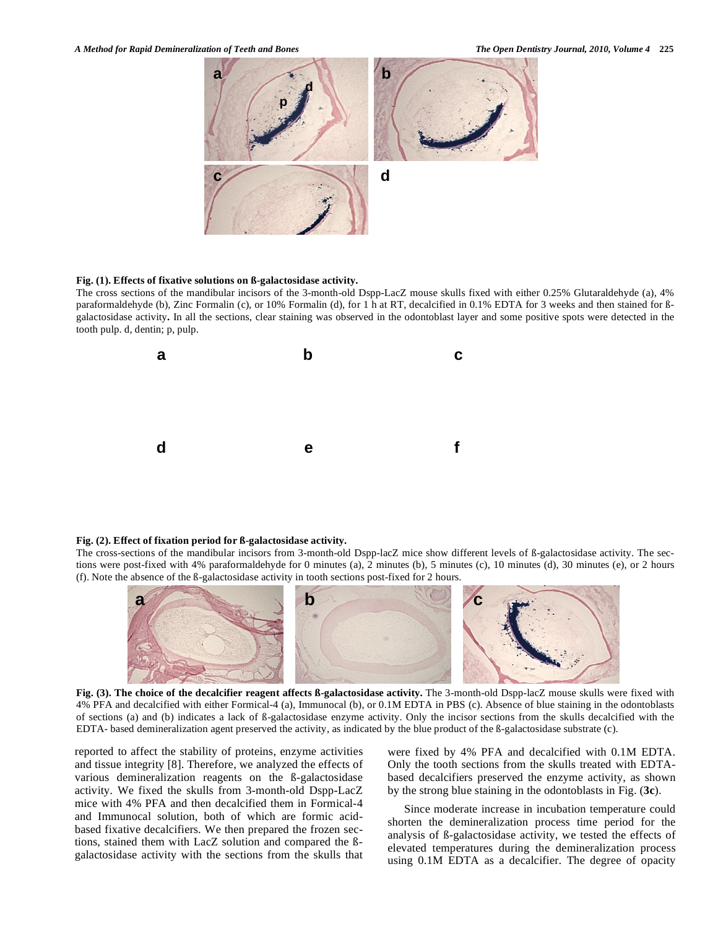

#### **Fig. (1). Effects of fixative solutions on ß-galactosidase activity.**

The cross sections of the mandibular incisors of the 3-month-old Dspp-LacZ mouse skulls fixed with either 0.25% Glutaraldehyde (a), 4% paraformaldehyde (b), Zinc Formalin (c), or 10% Formalin (d), for 1 h at RT, decalcified in 0.1% EDTA for 3 weeks and then stained for ßgalactosidase activity**.** In all the sections, clear staining was observed in the odontoblast layer and some positive spots were detected in the tooth pulp. d, dentin; p, pulp.



#### **Fig. (2). Effect of fixation period for ß-galactosidase activity.**

The cross-sections of the mandibular incisors from 3-month-old Dspp-lacZ mice show different levels of ß-galactosidase activity. The sections were post-fixed with 4% paraformaldehyde for 0 minutes (a), 2 minutes (b), 5 minutes (c), 10 minutes (d), 30 minutes (e), or 2 hours (f). Note the absence of the ß-galactosidase activity in tooth sections post-fixed for 2 hours.



**Fig. (3). The choice of the decalcifier reagent affects ß-galactosidase activity.** The 3-month-old Dspp-lacZ mouse skulls were fixed with 4% PFA and decalcified with either Formical-4 (a), Immunocal (b), or 0.1M EDTA in PBS (c). Absence of blue staining in the odontoblasts of sections (a) and (b) indicates a lack of ß-galactosidase enzyme activity. Only the incisor sections from the skulls decalcified with the EDTA- based demineralization agent preserved the activity, as indicated by the blue product of the ß-galactosidase substrate (c).

reported to affect the stability of proteins, enzyme activities and tissue integrity [8]. Therefore, we analyzed the effects of various demineralization reagents on the ß-galactosidase activity. We fixed the skulls from 3-month-old Dspp-LacZ mice with 4% PFA and then decalcified them in Formical-4 and Immunocal solution, both of which are formic acidbased fixative decalcifiers. We then prepared the frozen sections, stained them with LacZ solution and compared the ßgalactosidase activity with the sections from the skulls that were fixed by 4% PFA and decalcified with 0.1M EDTA. Only the tooth sections from the skulls treated with EDTAbased decalcifiers preserved the enzyme activity, as shown by the strong blue staining in the odontoblasts in Fig. (**3c**).

Since moderate increase in incubation temperature could shorten the demineralization process time period for the analysis of ß-galactosidase activity, we tested the effects of elevated temperatures during the demineralization process using 0.1M EDTA as a decalcifier. The degree of opacity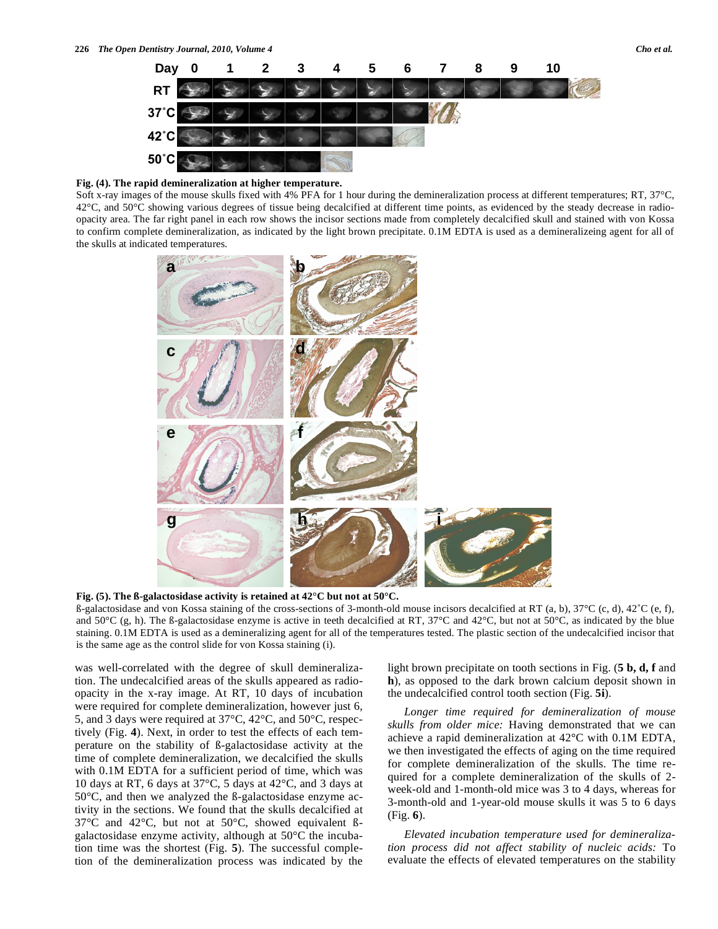

### **Fig. (4). The rapid demineralization at higher temperature.**

Soft x-ray images of the mouse skulls fixed with 4% PFA for 1 hour during the demineralization process at different temperatures; RT, 37°C,  $42^{\circ}$ C, and  $50^{\circ}$ C showing various degrees of tissue being decalcified at different time points, as evidenced by the steady decrease in radioopacity area. The far right panel in each row shows the incisor sections made from completely decalcified skull and stained with von Kossa to confirm complete demineralization, as indicated by the light brown precipitate. 0.1M EDTA is used as a demineralizeing agent for all of the skulls at indicated temperatures.



**Fig. (5). The ß-galactosidase activity is retained at 42°C but not at 50°C.** 

 $\beta$ -galactosidase and von Kossa staining of the cross-sections of 3-month-old mouse incisors decalcified at RT (a, b), 37°C (c, d), 42°C (e, f), and 50 $^{\circ}$ C (g, h). The ß-galactosidase enzyme is active in teeth decalcified at RT, 37 $^{\circ}$ C and 42 $^{\circ}$ C, but not at 50 $^{\circ}$ C, as indicated by the blue staining. 0.1M EDTA is used as a demineralizing agent for all of the temperatures tested. The plastic section of the undecalcified incisor that is the same age as the control slide for von Kossa staining (i).

was well-correlated with the degree of skull demineralization. The undecalcified areas of the skulls appeared as radioopacity in the x-ray image. At RT, 10 days of incubation were required for complete demineralization, however just 6, 5, and 3 days were required at 37°C, 42°C, and 50°C, respectively (Fig. **4**). Next, in order to test the effects of each temperature on the stability of ß-galactosidase activity at the time of complete demineralization, we decalcified the skulls with 0.1M EDTA for a sufficient period of time, which was 10 days at RT, 6 days at 37°C, 5 days at 42°C, and 3 days at 50°C, and then we analyzed the ß-galactosidase enzyme activity in the sections. We found that the skulls decalcified at 37°C and 42°C, but not at 50°C, showed equivalent ßgalactosidase enzyme activity, although at 50°C the incubation time was the shortest (Fig. **5**). The successful completion of the demineralization process was indicated by the light brown precipitate on tooth sections in Fig. (**5 b, d, f** and **h**), as opposed to the dark brown calcium deposit shown in the undecalcified control tooth section (Fig. **5i**).

*Longer time required for demineralization of mouse skulls from older mice:* Having demonstrated that we can achieve a rapid demineralization at 42°C with 0.1M EDTA, we then investigated the effects of aging on the time required for complete demineralization of the skulls. The time required for a complete demineralization of the skulls of 2 week-old and 1-month-old mice was 3 to 4 days, whereas for 3-month-old and 1-year-old mouse skulls it was 5 to 6 days (Fig. **6**).

*Elevated incubation temperature used for demineralization process did not affect stability of nucleic acids:* To evaluate the effects of elevated temperatures on the stability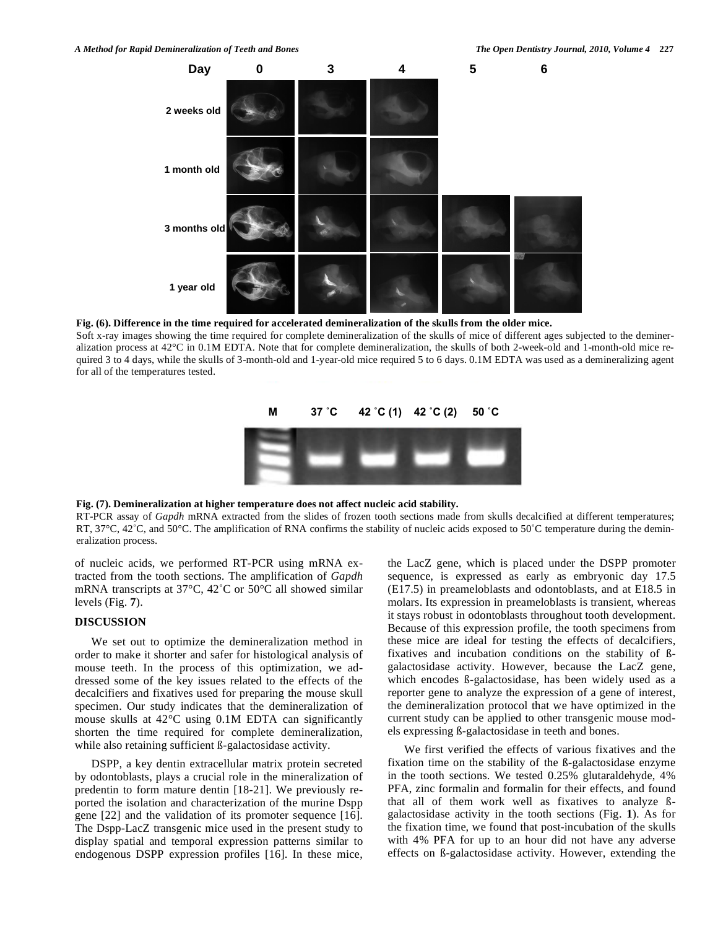

**Fig. (6). Difference in the time required for accelerated demineralization of the skulls from the older mice.**  Soft x-ray images showing the time required for complete demineralization of the skulls of mice of different ages subjected to the demineralization process at 42°C in 0.1M EDTA. Note that for complete demineralization, the skulls of both 2-week-old and 1-month-old mice required 3 to 4 days, while the skulls of 3-month-old and 1-year-old mice required 5 to 6 days. 0.1M EDTA was used as a demineralizing agent for all of the temperatures tested.



#### **Fig. (7). Demineralization at higher temperature does not affect nucleic acid stability.**

RT-PCR assay of *Gapdh* mRNA extracted from the slides of frozen tooth sections made from skulls decalcified at different temperatures; RT,  $37^{\circ}$ C,  $42^{\circ}$ C, and  $50^{\circ}$ C. The amplification of RNA confirms the stability of nucleic acids exposed to  $50^{\circ}$ C temperature during the demineralization process.

of nucleic acids, we performed RT-PCR using mRNA extracted from the tooth sections. The amplification of *Gapdh* mRNA transcripts at 37°C, 42˚C or 50°C all showed similar levels (Fig. **7**).

# **DISCUSSION**

We set out to optimize the demineralization method in order to make it shorter and safer for histological analysis of mouse teeth. In the process of this optimization, we addressed some of the key issues related to the effects of the decalcifiers and fixatives used for preparing the mouse skull specimen. Our study indicates that the demineralization of mouse skulls at 42°C using 0.1M EDTA can significantly shorten the time required for complete demineralization, while also retaining sufficient ß-galactosidase activity.

DSPP, a key dentin extracellular matrix protein secreted by odontoblasts, plays a crucial role in the mineralization of predentin to form mature dentin [18-21]. We previously reported the isolation and characterization of the murine Dspp gene [22] and the validation of its promoter sequence [16]. The Dspp-LacZ transgenic mice used in the present study to display spatial and temporal expression patterns similar to endogenous DSPP expression profiles [16]. In these mice, the LacZ gene, which is placed under the DSPP promoter sequence, is expressed as early as embryonic day 17.5 (E17.5) in preameloblasts and odontoblasts, and at E18.5 in molars. Its expression in preameloblasts is transient, whereas it stays robust in odontoblasts throughout tooth development. Because of this expression profile, the tooth specimens from these mice are ideal for testing the effects of decalcifiers, fixatives and incubation conditions on the stability of ßgalactosidase activity. However, because the LacZ gene, which encodes ß-galactosidase, has been widely used as a reporter gene to analyze the expression of a gene of interest, the demineralization protocol that we have optimized in the current study can be applied to other transgenic mouse models expressing ß-galactosidase in teeth and bones.

We first verified the effects of various fixatives and the fixation time on the stability of the ß-galactosidase enzyme in the tooth sections. We tested 0.25% glutaraldehyde, 4% PFA, zinc formalin and formalin for their effects, and found that all of them work well as fixatives to analyze ßgalactosidase activity in the tooth sections (Fig. **1**). As for the fixation time, we found that post-incubation of the skulls with 4% PFA for up to an hour did not have any adverse effects on ß-galactosidase activity. However, extending the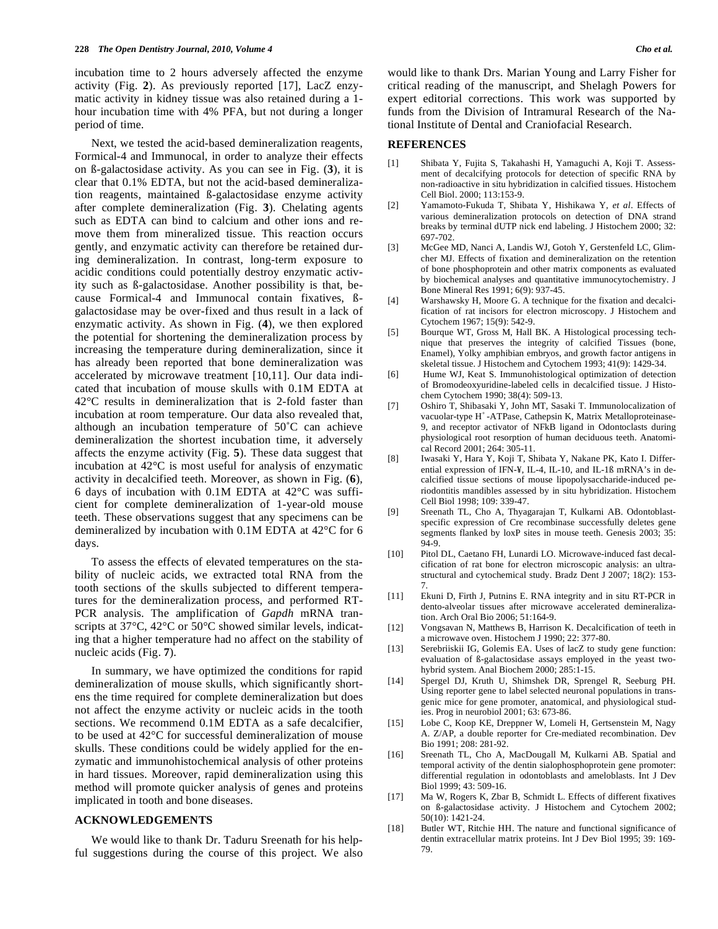incubation time to 2 hours adversely affected the enzyme activity (Fig. **2**). As previously reported [17], LacZ enzymatic activity in kidney tissue was also retained during a 1 hour incubation time with 4% PFA, but not during a longer period of time.

Next, we tested the acid-based demineralization reagents, Formical-4 and Immunocal, in order to analyze their effects on ß-galactosidase activity. As you can see in Fig. (**3**), it is clear that 0.1% EDTA, but not the acid-based demineralization reagents, maintained ß-galactosidase enzyme activity after complete demineralization (Fig. **3**). Chelating agents such as EDTA can bind to calcium and other ions and remove them from mineralized tissue. This reaction occurs gently, and enzymatic activity can therefore be retained during demineralization. In contrast, long-term exposure to acidic conditions could potentially destroy enzymatic activity such as ß-galactosidase. Another possibility is that, because Formical-4 and Immunocal contain fixatives, ßgalactosidase may be over-fixed and thus result in a lack of enzymatic activity. As shown in Fig. (**4**), we then explored the potential for shortening the demineralization process by increasing the temperature during demineralization, since it has already been reported that bone demineralization was accelerated by microwave treatment [10,11]. Our data indicated that incubation of mouse skulls with 0.1M EDTA at 42°C results in demineralization that is 2-fold faster than incubation at room temperature. Our data also revealed that, although an incubation temperature of 50˚C can achieve demineralization the shortest incubation time, it adversely affects the enzyme activity (Fig. **5**). These data suggest that incubation at 42°C is most useful for analysis of enzymatic activity in decalcified teeth. Moreover, as shown in Fig. (**6**), 6 days of incubation with 0.1M EDTA at 42°C was sufficient for complete demineralization of 1-year-old mouse teeth. These observations suggest that any specimens can be demineralized by incubation with 0.1M EDTA at 42°C for 6 days.

To assess the effects of elevated temperatures on the stability of nucleic acids, we extracted total RNA from the tooth sections of the skulls subjected to different temperatures for the demineralization process, and performed RT-PCR analysis. The amplification of *Gapdh* mRNA transcripts at 37°C, 42°C or 50°C showed similar levels, indicating that a higher temperature had no affect on the stability of nucleic acids (Fig. **7**).

In summary, we have optimized the conditions for rapid demineralization of mouse skulls, which significantly shortens the time required for complete demineralization but does not affect the enzyme activity or nucleic acids in the tooth sections. We recommend 0.1M EDTA as a safe decalcifier, to be used at 42°C for successful demineralization of mouse skulls. These conditions could be widely applied for the enzymatic and immunohistochemical analysis of other proteins in hard tissues. Moreover, rapid demineralization using this method will promote quicker analysis of genes and proteins implicated in tooth and bone diseases.

# **ACKNOWLEDGEMENTS**

We would like to thank Dr. Taduru Sreenath for his helpful suggestions during the course of this project. We also would like to thank Drs. Marian Young and Larry Fisher for critical reading of the manuscript, and Shelagh Powers for expert editorial corrections. This work was supported by funds from the Division of Intramural Research of the National Institute of Dental and Craniofacial Research.

#### **REFERENCES**

- [1] Shibata Y, Fujita S, Takahashi H, Yamaguchi A, Koji T. Assessment of decalcifying protocols for detection of specific RNA by non-radioactive in situ hybridization in calcified tissues. Histochem Cell Biol. 2000; 113:153-9.
- [2] Yamamoto-Fukuda T, Shibata Y, Hishikawa Y, *et al*. Effects of various demineralization protocols on detection of DNA strand breaks by terminal dUTP nick end labeling. J Histochem 2000; 32: 697-702.
- [3] McGee MD, Nanci A, Landis WJ, Gotoh Y, Gerstenfeld LC, Glimcher MJ. Effects of fixation and demineralization on the retention of bone phosphoprotein and other matrix components as evaluated by biochemical analyses and quantitative immunocytochemistry. J Bone Mineral Res 1991; 6(9): 937-45.
- [4] Warshawsky H, Moore G. A technique for the fixation and decalcification of rat incisors for electron microscopy. J Histochem and Cytochem 1967; 15(9): 542-9.
- [5] Bourque WT, Gross M, Hall BK. A Histological processing technique that preserves the integrity of calcified Tissues (bone, Enamel), Yolky amphibian embryos, and growth factor antigens in skeletal tissue. J Histochem and Cytochem 1993; 41(9): 1429-34.
- [6] Hume WJ, Keat S. Immunohistological optimization of detection of Bromodeoxyuridine-labeled cells in decalcified tissue. J Histochem Cytochem 1990; 38(4): 509-13.
- [7] Oshiro T, Shibasaki Y, John MT, Sasaki T. Immunolocalization of vacuolar-type H<sup>+</sup>-ATPase, Cathepsin K, Matrix Metalloproteinase-9, and receptor activator of NFkB ligand in Odontoclasts during physiological root resorption of human deciduous teeth. Anatomical Record 2001; 264: 305-11.
- [8] Iwasaki Y, Hara Y, Koji T, Shibata Y, Nakane PK, Kato I. Differential expression of IFN-¥, IL-4, IL-10, and IL-1ß mRNA's in decalcified tissue sections of mouse lipopolysaccharide-induced periodontitis mandibles assessed by in situ hybridization. Histochem Cell Biol 1998; 109: 339-47.
- [9] Sreenath TL, Cho A, Thyagarajan T, Kulkarni AB. Odontoblastspecific expression of Cre recombinase successfully deletes gene segments flanked by loxP sites in mouse teeth. Genesis 2003; 35: 94-9.
- [10] Pitol DL, Caetano FH, Lunardi LO. Microwave-induced fast decalcification of rat bone for electron microscopic analysis: an ultrastructural and cytochemical study. Bradz Dent J 2007; 18(2): 153- 7.
- [11] Ekuni D, Firth J, Putnins E. RNA integrity and in situ RT-PCR in dento-alveolar tissues after microwave accelerated demineralization. Arch Oral Bio 2006; 51:164-9.
- [12] Vongsavan N, Matthews B, Harrison K. Decalcification of teeth in a microwave oven. Histochem J 1990; 22: 377-80.
- [13] Serebriiskii IG, Golemis EA. Uses of lacZ to study gene function: evaluation of ß-galactosidase assays employed in the yeast twohybrid system. Anal Biochem 2000; 285:1-15.
- [14] Spergel DJ, Kruth U, Shimshek DR, Sprengel R, Seeburg PH. Using reporter gene to label selected neuronal populations in transgenic mice for gene promoter, anatomical, and physiological studies. Prog in neurobiol 2001; 63: 673-86.
- [15] Lobe C, Koop KE, Dreppner W, Lomeli H, Gertsenstein M, Nagy A. Z/AP, a double reporter for Cre-mediated recombination. Dev Bio 1991; 208: 281-92.
- [16] Sreenath TL, Cho A, MacDougall M, Kulkarni AB. Spatial and temporal activity of the dentin sialophosphoprotein gene promoter: differential regulation in odontoblasts and ameloblasts. Int J Dev Biol 1999; 43: 509-16.
- [17] Ma W, Rogers K, Zbar B, Schmidt L. Effects of different fixatives on ß-galactosidase activity. J Histochem and Cytochem 2002; 50(10): 1421-24.
- [18] Butler WT, Ritchie HH. The nature and functional significance of dentin extracellular matrix proteins. Int J Dev Biol 1995; 39: 169- 79.